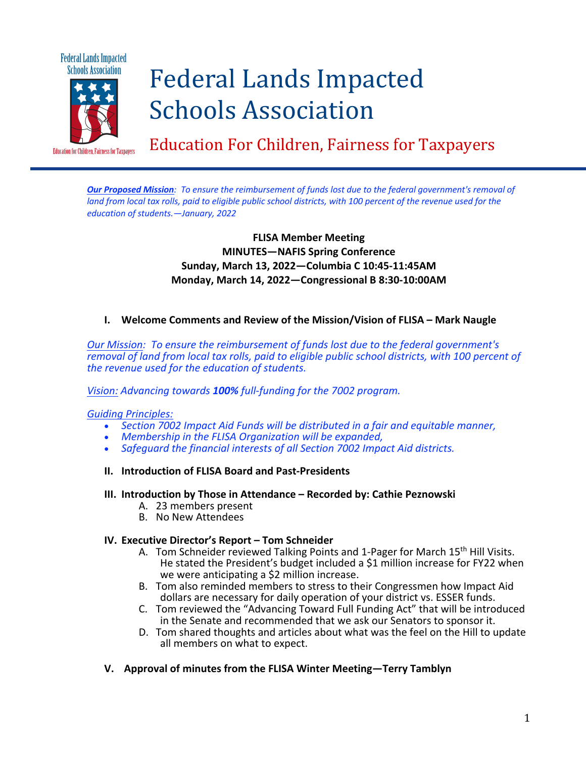

# Federal Lands Impacted Schools Association

Education For Children, Fairness for Taxpayers

**Our Proposed Mission:** To ensure the reimbursement of funds lost due to the federal government's removal of land from local tax rolls, paid to eligible public school districts, with 100 percent of the revenue used for the *education of students.—January, 2022*

# **FLISA Member Meeting MINUTES—NAFIS Spring Conference Sunday, March 13, 2022—Columbia C 10:45-11:45AM Monday, March 14, 2022—Congressional B 8:30-10:00AM**

## **I. Welcome Comments and Review of the Mission/Vision of FLISA – Mark Naugle**

*Our Mission: To ensure the reimbursement of funds lost due to the federal government's removal of land from local tax rolls, paid to eligible public school districts, with 100 percent of the revenue used for the education of students.*

#### *Vision: Advancing towards 100% full-funding for the 7002 program.*

#### *Guiding Principles:*

- *Section 7002 Impact Aid Funds will be distributed in a fair and equitable manner,*
- *Membership in the FLISA Organization will be expanded,*
- *Safeguard the financial interests of all Section 7002 Impact Aid districts.*
- **II. Introduction of FLISA Board and Past-Presidents**

#### **III. Introduction by Those in Attendance – Recorded by: Cathie Peznowski**

- A. 23 members present
- B. No New Attendees

#### **IV. Executive Director's Report – Tom Schneider**

- A. Tom Schneider reviewed Talking Points and 1-Pager for March 15<sup>th</sup> Hill Visits. He stated the President's budget included a \$1 million increase for FY22 when we were anticipating a \$2 million increase.
- B. Tom also reminded members to stress to their Congressmen how Impact Aid dollars are necessary for daily operation of your district vs. ESSER funds.
- C. Tom reviewed the "Advancing Toward Full Funding Act" that will be introduced in the Senate and recommended that we ask our Senators to sponsor it.
- D. Tom shared thoughts and articles about what was the feel on the Hill to update all members on what to expect.
- **V. Approval of minutes from the FLISA Winter Meeting—Terry Tamblyn**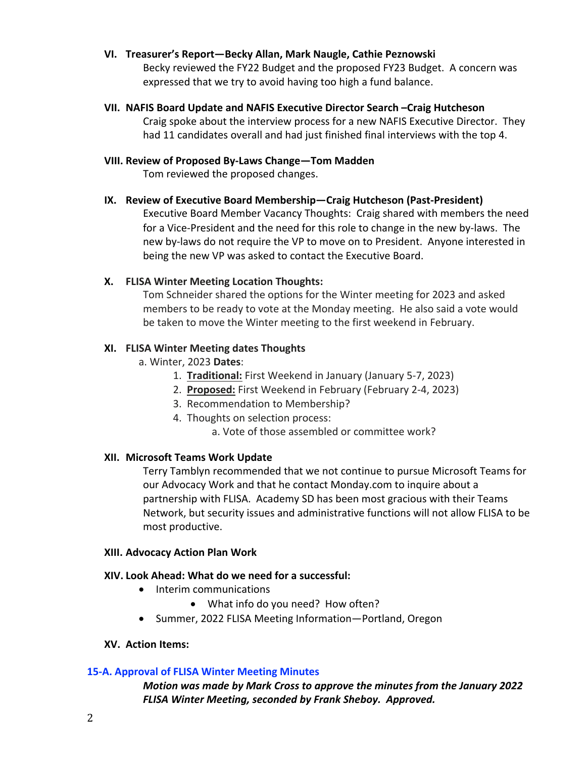### **VI. Treasurer's Report—Becky Allan, Mark Naugle, Cathie Peznowski**

Becky reviewed the FY22 Budget and the proposed FY23 Budget. A concern was expressed that we try to avoid having too high a fund balance.

**VII. NAFIS Board Update and NAFIS Executive Director Search –Craig Hutcheson** Craig spoke about the interview process for a new NAFIS Executive Director. They had 11 candidates overall and had just finished final interviews with the top 4.

### **VIII. Review of Proposed By-Laws Change—Tom Madden**

Tom reviewed the proposed changes.

## **IX. Review of Executive Board Membership—Craig Hutcheson (Past-President)**

Executive Board Member Vacancy Thoughts: Craig shared with members the need for a Vice-President and the need for this role to change in the new by-laws. The new by-laws do not require the VP to move on to President. Anyone interested in being the new VP was asked to contact the Executive Board.

## **X. FLISA Winter Meeting Location Thoughts:**

Tom Schneider shared the options for the Winter meeting for 2023 and asked members to be ready to vote at the Monday meeting. He also said a vote would be taken to move the Winter meeting to the first weekend in February.

### **XI. FLISA Winter Meeting dates Thoughts**

- a. Winter, 2023 **Dates**:
	- 1. **Traditional:** First Weekend in January (January 5-7, 2023)
	- 2. **Proposed:** First Weekend in February (February 2-4, 2023)
	- 3. Recommendation to Membership?
	- 4. Thoughts on selection process:

a. Vote of those assembled or committee work?

## **XII. Microsoft Teams Work Update**

Terry Tamblyn recommended that we not continue to pursue Microsoft Teams for our Advocacy Work and that he contact Monday.com to inquire about a partnership with FLISA. Academy SD has been most gracious with their Teams Network, but security issues and administrative functions will not allow FLISA to be most productive.

#### **XIII. Advocacy Action Plan Work**

## **XIV. Look Ahead: What do we need for a successful:**

- Interim communications
	- What info do you need? How often?
- Summer, 2022 FLISA Meeting Information—Portland, Oregon

#### **XV. Action Items:**

## **15-A. Approval of FLISA Winter Meeting Minutes**

*Motion was made by Mark Cross to approve the minutes from the January 2022 FLISA Winter Meeting, seconded by Frank Sheboy. Approved.*